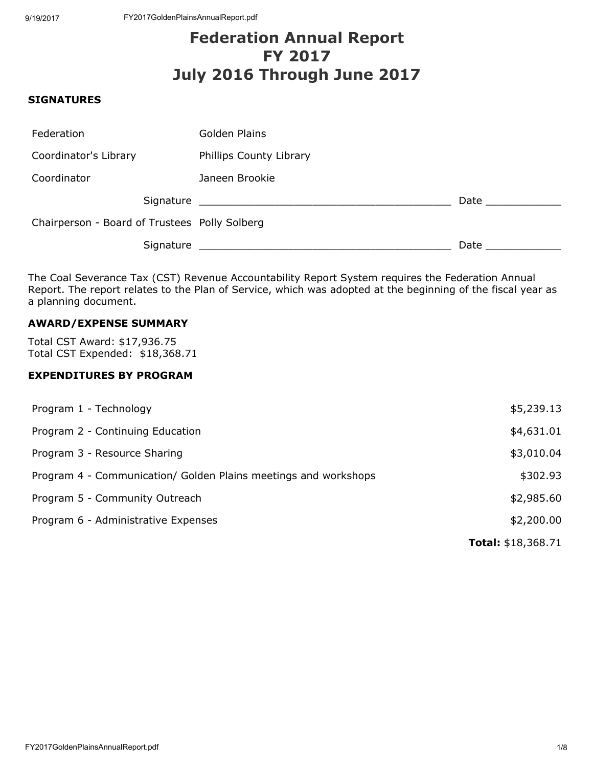# Federation Annual Report FY 2017 July 2016 Through June 2017

#### **SIGNATURES**

| Federation                                    | Golden Plains                                                                   |      |
|-----------------------------------------------|---------------------------------------------------------------------------------|------|
| Coordinator's Library                         | Phillips County Library                                                         |      |
| Coordinator                                   | Janeen Brookie                                                                  |      |
| Signature                                     | the contract of the contract of the contract of the contract of the contract of | Date |
| Chairperson - Board of Trustees Polly Solberg |                                                                                 |      |
| Signature                                     |                                                                                 | Date |

The Coal Severance Tax (CST) Revenue Accountability Report System requires the Federation Annual Report. The report relates to the Plan of Service, which was adopted at the beginning of the fiscal year as a planning document.

# AWARD/EXPENSE SUMMARY

Total CST Award: \$17,936.75 Total CST Expended: \$18,368.71

# EXPENDITURES BY PROGRAM

| Program 1 - Technology                                          | \$5,239.13                |
|-----------------------------------------------------------------|---------------------------|
| Program 2 - Continuing Education                                | \$4,631.01                |
| Program 3 - Resource Sharing                                    | \$3,010.04                |
| Program 4 - Communication/ Golden Plains meetings and workshops | \$302.93                  |
| Program 5 - Community Outreach                                  | \$2,985.60                |
| Program 6 - Administrative Expenses                             | \$2,200.00                |
|                                                                 | <b>Total: \$18,368.71</b> |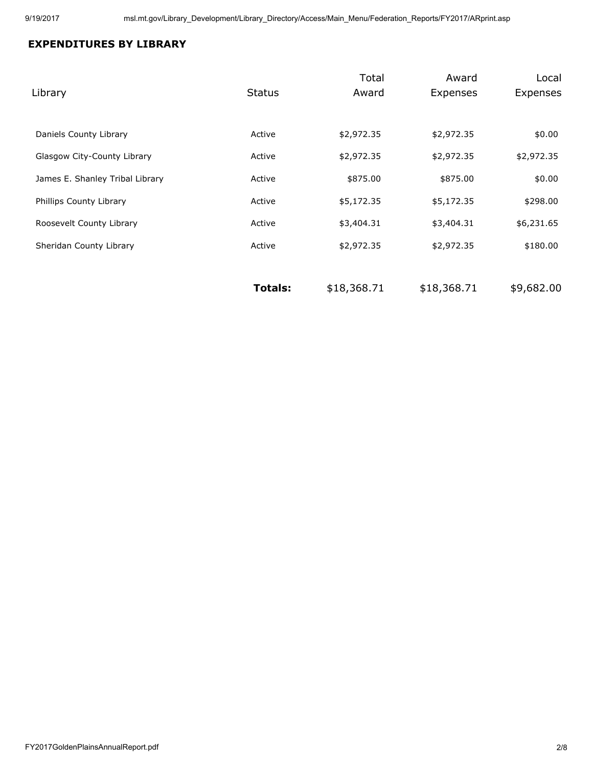# EXPENDITURES BY LIBRARY

| Library                         | <b>Status</b>  | Total<br>Award | Award<br>Expenses | Local<br>Expenses |
|---------------------------------|----------------|----------------|-------------------|-------------------|
|                                 |                |                |                   |                   |
| Daniels County Library          | Active         | \$2,972.35     | \$2,972.35        | \$0.00            |
| Glasgow City-County Library     | Active         | \$2,972.35     | \$2,972.35        | \$2,972.35        |
| James E. Shanley Tribal Library | Active         | \$875.00       | \$875.00          | \$0.00            |
| Phillips County Library         | Active         | \$5,172.35     | \$5,172.35        | \$298.00          |
| Roosevelt County Library        | Active         | \$3,404.31     | \$3,404.31        | \$6,231.65        |
| Sheridan County Library         | Active         | \$2,972.35     | \$2,972.35        | \$180.00          |
|                                 |                |                |                   |                   |
|                                 | <b>Totals:</b> | \$18,368.71    | \$18,368.71       | \$9,682.00        |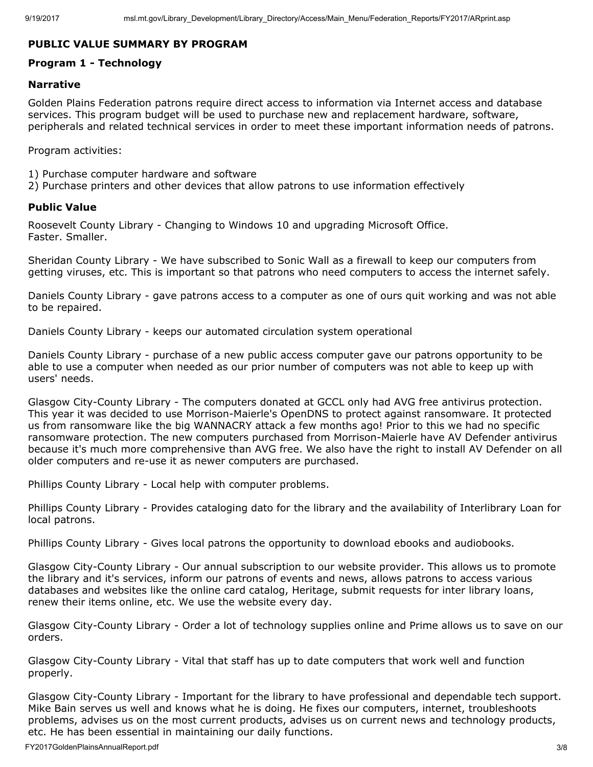# PUBLIC VALUE SUMMARY BY PROGRAM

# Program 1 - Technology

# Narrative

Golden Plains Federation patrons require direct access to information via Internet access and database services. This program budget will be used to purchase new and replacement hardware, software, peripherals and related technical services in order to meet these important information needs of patrons.

Program activities:

- 1) Purchase computer hardware and software
- 2) Purchase printers and other devices that allow patrons to use information effectively

# Public Value

Roosevelt County Library - Changing to Windows 10 and upgrading Microsoft Office. Faster. Smaller.

Sheridan County Library - We have subscribed to Sonic Wall as a firewall to keep our computers from getting viruses, etc. This is important so that patrons who need computers to access the internet safely.

Daniels County Library - gave patrons access to a computer as one of ours quit working and was not able to be repaired.

Daniels County Library - keeps our automated circulation system operational

Daniels County Library - purchase of a new public access computer gave our patrons opportunity to be able to use a computer when needed as our prior number of computers was not able to keep up with users' needs.

Glasgow City-County Library - The computers donated at GCCL only had AVG free antivirus protection. This year it was decided to use Morrison-Maierle's OpenDNS to protect against ransomware. It protected us from ransomware like the big WANNACRY attack a few months ago! Prior to this we had no specific ransomware protection. The new computers purchased from Morrison-Maierle have AV Defender antivirus because it's much more comprehensive than AVG free. We also have the right to install AV Defender on all older computers and re-use it as newer computers are purchased.

Phillips County Library - Local help with computer problems.

Phillips County Library - Provides cataloging dato for the library and the availability of Interlibrary Loan for local patrons.

Phillips County Library - Gives local patrons the opportunity to download ebooks and audiobooks.

Glasgow City-County Library - Our annual subscription to our website provider. This allows us to promote the library and it's services, inform our patrons of events and news, allows patrons to access various databases and websites like the online card catalog, Heritage, submit requests for inter library loans, renew their items online, etc. We use the website every day.

Glasgow City-County Library - Order a lot of technology supplies online and Prime allows us to save on our orders.

Glasgow City-County Library - Vital that staff has up to date computers that work well and function properly.

Glasgow City-County Library - Important for the library to have professional and dependable tech support. Mike Bain serves us well and knows what he is doing. He fixes our computers, internet, troubleshoots problems, advises us on the most current products, advises us on current news and technology products, etc. He has been essential in maintaining our daily functions.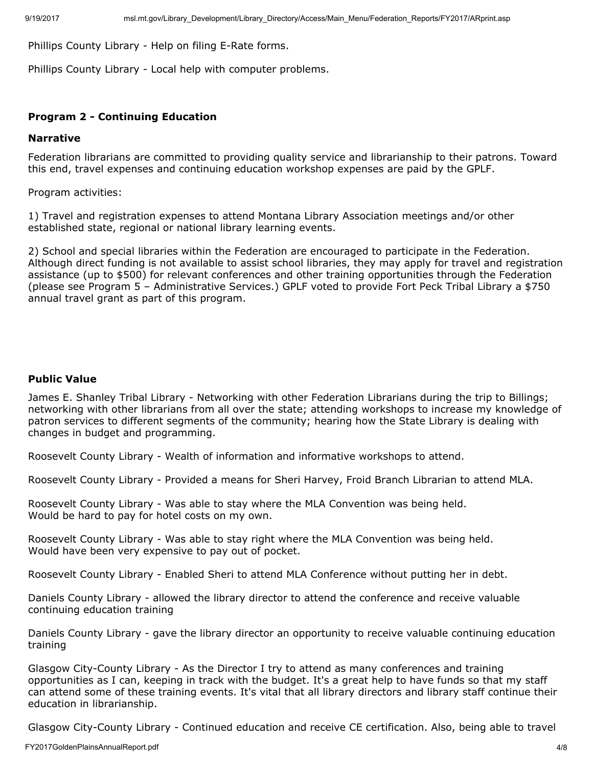Phillips County Library - Help on filing E-Rate forms.

Phillips County Library - Local help with computer problems.

# Program 2 - Continuing Education

#### Narrative

Federation librarians are committed to providing quality service and librarianship to their patrons. Toward this end, travel expenses and continuing education workshop expenses are paid by the GPLF.

Program activities:

1) Travel and registration expenses to attend Montana Library Association meetings and/or other established state, regional or national library learning events.

2) School and special libraries within the Federation are encouraged to participate in the Federation. Although direct funding is not available to assist school libraries, they may apply for travel and registration assistance (up to \$500) for relevant conferences and other training opportunities through the Federation (please see Program 5 – Administrative Services.) GPLF voted to provide Fort Peck Tribal Library a \$750 annual travel grant as part of this program.

## Public Value

James E. Shanley Tribal Library - Networking with other Federation Librarians during the trip to Billings; networking with other librarians from all over the state; attending workshops to increase my knowledge of patron services to different segments of the community; hearing how the State Library is dealing with changes in budget and programming.

Roosevelt County Library - Wealth of information and informative workshops to attend.

Roosevelt County Library - Provided a means for Sheri Harvey, Froid Branch Librarian to attend MLA.

Roosevelt County Library - Was able to stay where the MLA Convention was being held. Would be hard to pay for hotel costs on my own.

Roosevelt County Library - Was able to stay right where the MLA Convention was being held. Would have been very expensive to pay out of pocket.

Roosevelt County Library - Enabled Sheri to attend MLA Conference without putting her in debt.

Daniels County Library - allowed the library director to attend the conference and receive valuable continuing education training

Daniels County Library - gave the library director an opportunity to receive valuable continuing education training

Glasgow City-County Library - As the Director I try to attend as many conferences and training opportunities as I can, keeping in track with the budget. It's a great help to have funds so that my staff can attend some of these training events. It's vital that all library directors and library staff continue their education in librarianship.

Glasgow City-County Library - Continued education and receive CE certification. Also, being able to travel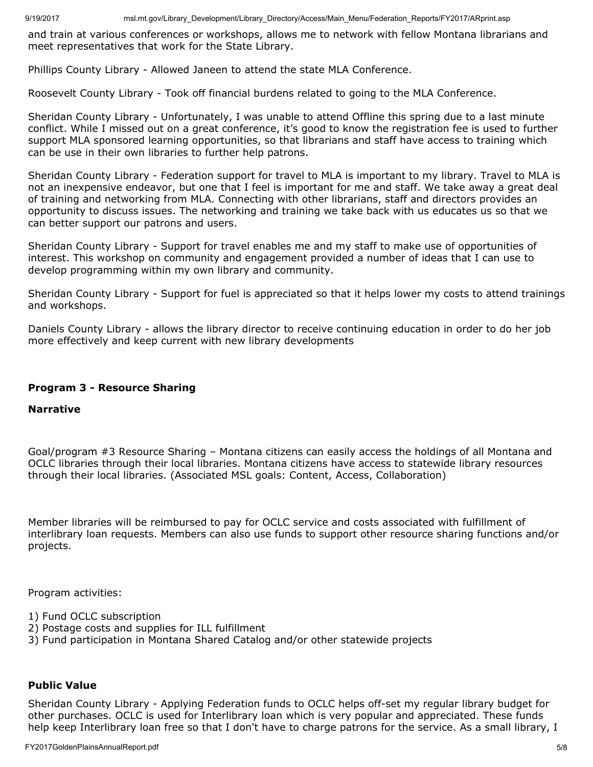and train at various conferences or workshops, allows me to network with fellow Montana librarians and meet representatives that work for the State Library.

Phillips County Library - Allowed Janeen to attend the state MLA Conference.

Roosevelt County Library - Took off financial burdens related to going to the MLA Conference.

Sheridan County Library - Unfortunately, I was unable to attend Offline this spring due to a last minute conflict. While I missed out on a great conference, it's good to know the registration fee is used to further support MLA sponsored learning opportunities, so that librarians and staff have access to training which can be use in their own libraries to further help patrons.

Sheridan County Library - Federation support for travel to MLA is important to my library. Travel to MLA is not an inexpensive endeavor, but one that I feel is important for me and staff. We take away a great deal of training and networking from MLA. Connecting with other librarians, staff and directors provides an opportunity to discuss issues. The networking and training we take back with us educates us so that we can better support our patrons and users.

Sheridan County Library - Support for travel enables me and my staff to make use of opportunities of interest. This workshop on community and engagement provided a number of ideas that I can use to develop programming within my own library and community.

Sheridan County Library - Support for fuel is appreciated so that it helps lower my costs to attend trainings and workshops.

Daniels County Library - allows the library director to receive continuing education in order to do her job more effectively and keep current with new library developments

# Program 3 - Resource Sharing

# **Narrative**

Goal/program #3 Resource Sharing – Montana citizens can easily access the holdings of all Montana and OCLC libraries through their local libraries. Montana citizens have access to statewide library resources through their local libraries. (Associated MSL goals: Content, Access, Collaboration)

Member libraries will be reimbursed to pay for OCLC service and costs associated with fulfillment of interlibrary loan requests. Members can also use funds to support other resource sharing functions and/or projects.

Program activities:

- 1) Fund OCLC subscription
- 2) Postage costs and supplies for ILL fulfillment
- 3) Fund participation in Montana Shared Catalog and/or other statewide projects

## Public Value

Sheridan County Library - Applying Federation funds to OCLC helps off-set my regular library budget for other purchases. OCLC is used for Interlibrary loan which is very popular and appreciated. These funds help keep Interlibrary loan free so that I don't have to charge patrons for the service. As a small library, I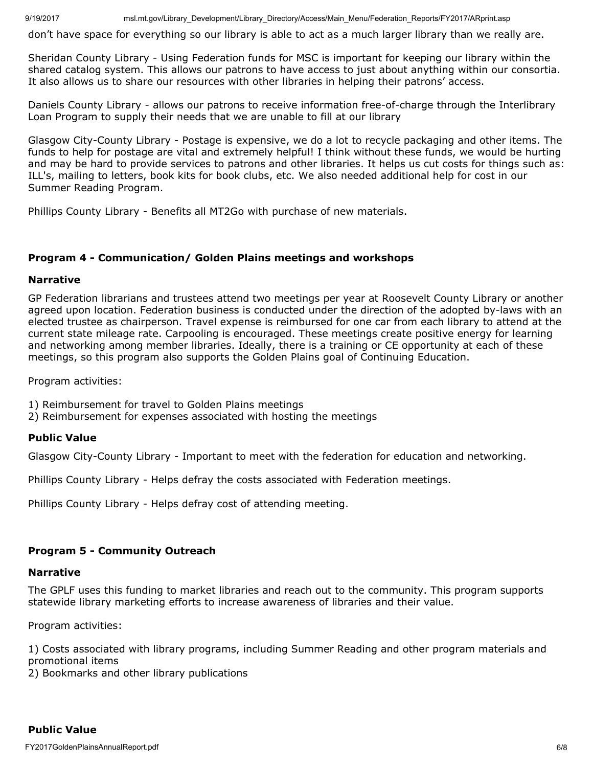9/19/2017 msl.mt.gov/Library\_Development/Library\_Directory/Access/Main\_Menu/Federation\_Reports/FY2017/ARprint.asp

don't have space for everything so our library is able to act as a much larger library than we really are.

Sheridan County Library - Using Federation funds for MSC is important for keeping our library within the shared catalog system. This allows our patrons to have access to just about anything within our consortia. It also allows us to share our resources with other libraries in helping their patrons' access.

Daniels County Library - allows our patrons to receive information free-of-charge through the Interlibrary Loan Program to supply their needs that we are unable to fill at our library

Glasgow City-County Library - Postage is expensive, we do a lot to recycle packaging and other items. The funds to help for postage are vital and extremely helpful! I think without these funds, we would be hurting and may be hard to provide services to patrons and other libraries. It helps us cut costs for things such as: ILL's, mailing to letters, book kits for book clubs, etc. We also needed additional help for cost in our Summer Reading Program.

Phillips County Library - Benefits all MT2Go with purchase of new materials.

# Program 4 - Communication/ Golden Plains meetings and workshops

## Narrative

GP Federation librarians and trustees attend two meetings per year at Roosevelt County Library or another agreed upon location. Federation business is conducted under the direction of the adopted by-laws with an elected trustee as chairperson. Travel expense is reimbursed for one car from each library to attend at the current state mileage rate. Carpooling is encouraged. These meetings create positive energy for learning and networking among member libraries. Ideally, there is a training or CE opportunity at each of these meetings, so this program also supports the Golden Plains goal of Continuing Education.

Program activities:

- 1) Reimbursement for travel to Golden Plains meetings
- 2) Reimbursement for expenses associated with hosting the meetings

## Public Value

Glasgow City-County Library - Important to meet with the federation for education and networking.

Phillips County Library - Helps defray the costs associated with Federation meetings.

Phillips County Library - Helps defray cost of attending meeting.

## Program 5 - Community Outreach

#### Narrative

The GPLF uses this funding to market libraries and reach out to the community. This program supports statewide library marketing efforts to increase awareness of libraries and their value.

Program activities:

1) Costs associated with library programs, including Summer Reading and other program materials and promotional items

2) Bookmarks and other library publications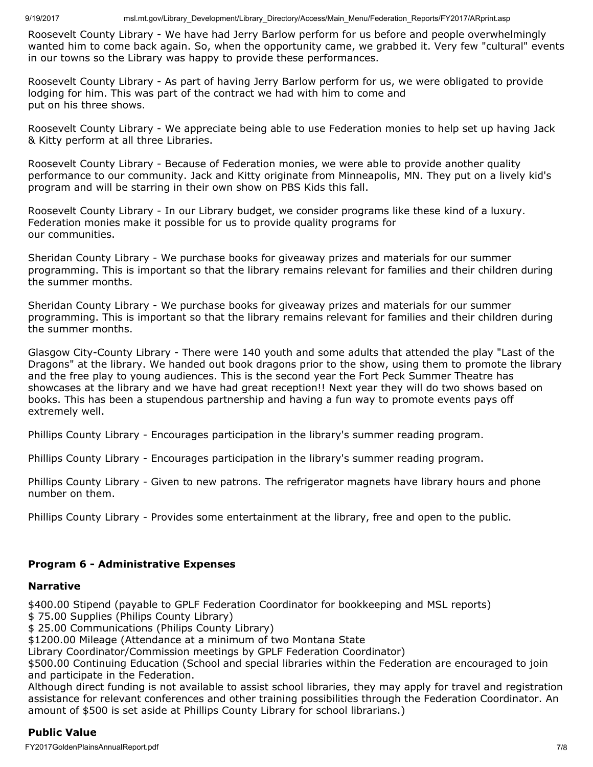Roosevelt County Library - We have had Jerry Barlow perform for us before and people overwhelmingly wanted him to come back again. So, when the opportunity came, we grabbed it. Very few "cultural" events in our towns so the Library was happy to provide these performances.

Roosevelt County Library - As part of having Jerry Barlow perform for us, we were obligated to provide lodging for him. This was part of the contract we had with him to come and put on his three shows.

Roosevelt County Library - We appreciate being able to use Federation monies to help set up having Jack & Kitty perform at all three Libraries.

Roosevelt County Library - Because of Federation monies, we were able to provide another quality performance to our community. Jack and Kitty originate from Minneapolis, MN. They put on a lively kid's program and will be starring in their own show on PBS Kids this fall.

Roosevelt County Library - In our Library budget, we consider programs like these kind of a luxury. Federation monies make it possible for us to provide quality programs for our communities.

Sheridan County Library - We purchase books for giveaway prizes and materials for our summer programming. This is important so that the library remains relevant for families and their children during the summer months.

Sheridan County Library - We purchase books for giveaway prizes and materials for our summer programming. This is important so that the library remains relevant for families and their children during the summer months.

Glasgow City-County Library - There were 140 youth and some adults that attended the play "Last of the Dragons" at the library. We handed out book dragons prior to the show, using them to promote the library and the free play to young audiences. This is the second year the Fort Peck Summer Theatre has showcases at the library and we have had great reception!! Next year they will do two shows based on books. This has been a stupendous partnership and having a fun way to promote events pays off extremely well.

Phillips County Library - Encourages participation in the library's summer reading program.

Phillips County Library - Encourages participation in the library's summer reading program.

Phillips County Library - Given to new patrons. The refrigerator magnets have library hours and phone number on them.

Phillips County Library - Provides some entertainment at the library, free and open to the public.

# Program 6 - Administrative Expenses

## Narrative

\$400.00 Stipend (payable to GPLF Federation Coordinator for bookkeeping and MSL reports)

\$ 75.00 Supplies (Philips County Library)

\$ 25.00 Communications (Philips County Library)

\$1200.00 Mileage (Attendance at a minimum of two Montana State

Library Coordinator/Commission meetings by GPLF Federation Coordinator)

\$500.00 Continuing Education (School and special libraries within the Federation are encouraged to join and participate in the Federation.

Although direct funding is not available to assist school libraries, they may apply for travel and registration assistance for relevant conferences and other training possibilities through the Federation Coordinator. An amount of \$500 is set aside at Phillips County Library for school librarians.)

# Public Value